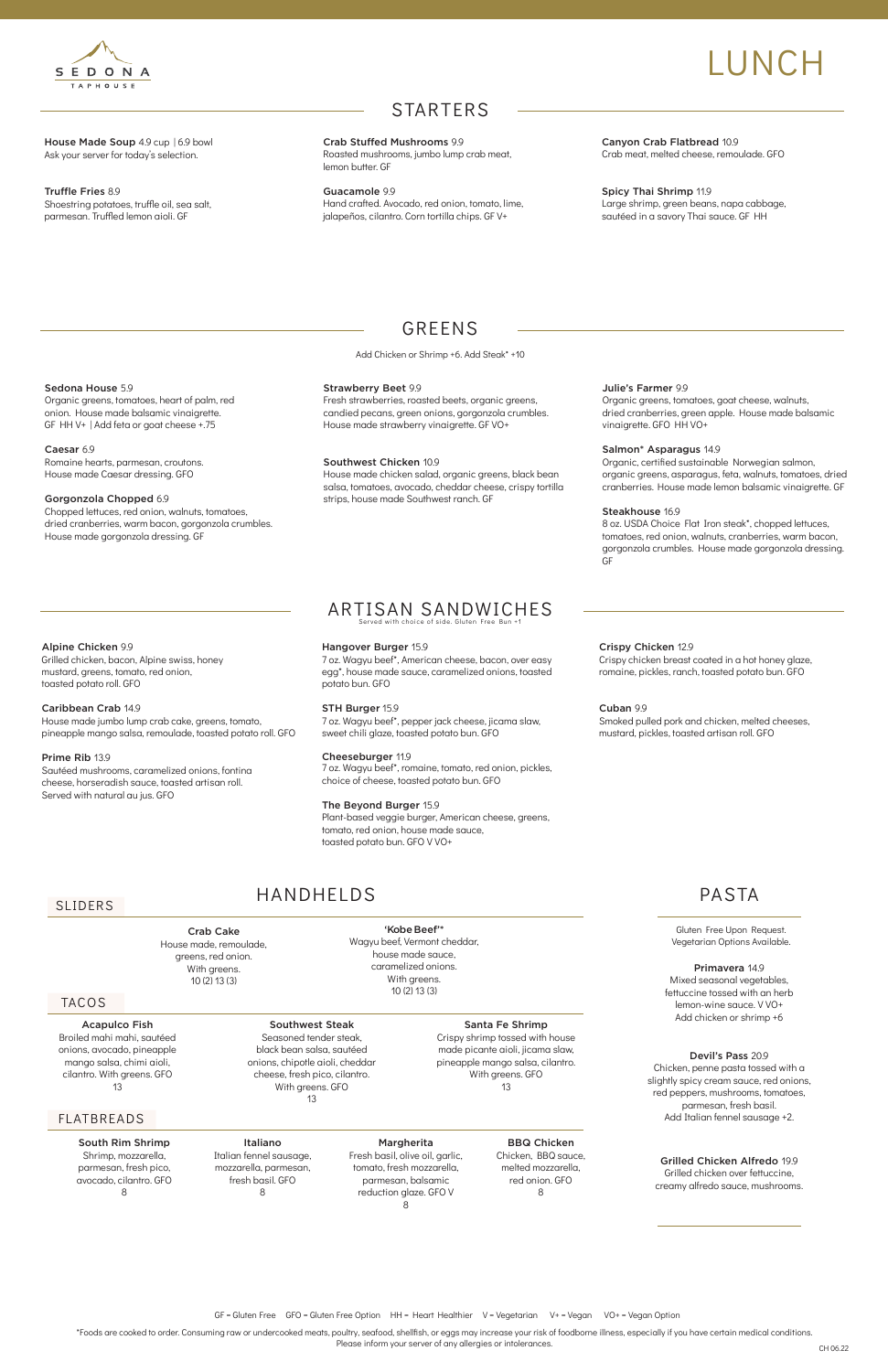House Made Soup 4.9 cup | 6.9 bowl Ask your server for today's selection.

### ARTISAN SANDWICHES erved with choice of side. Gluten Free Bun

Truffle Fries 8.9 Shoestring potatoes, truffle oil, sea salt, parmesan. Truffled lemon aioli. GF

### GREENS

Add Chicken or Shrimp +6. Add Steak\* +10

Canyon Crab Flatbread 10.9 Crab meat, melted cheese, remoulade. GFO

Spicy Thai Shrimp 11.9 Large shrimp, green beans, napa cabbage, sautéed in a savory Thai sauce. GF HH

### Sedona House 5.9

Organic greens, tomatoes, heart of palm, red onion. House made balsamic vinaigrette. GF HH V+ | Add feta or goat cheese +.75

### Caesar 6.9

Romaine hearts, parmesan, croutons. House made Caesar dressing. GFO

### Gorgonzola Chopped 6.9

Chopped lettuces, red onion, walnuts, tomatoes, dried cranberries, warm bacon, gorgonzola crumbles. House made gorgonzola dressing. GF

### Alpine Chicken 9.9

Grilled chicken, bacon, Alpine swiss, honey mustard, greens, tomato, red onion, toasted potato roll. GFO

### Caribbean Crab 14.9

House made jumbo lump crab cake, greens, tomato, pineapple mango salsa, remoulade, toasted potato roll. GFO

### Prime Rib 13.9

Sautéed mushrooms, caramelized onions, fontina cheese, horseradish sauce, toasted artisan roll. Served with natural au jus. GFO

### Julie's Farmer 9.9

Organic greens, tomatoes, goat cheese, walnuts, dried cranberries, green apple. House made balsamic vinaigrette. GFO HH VO+

### Salmon\* Asparagus 14.9

Organic, certified sustainable Norwegian salmon, organic greens, asparagus, feta, walnuts, tomatoes, dried cranberries. House made lemon balsamic vinaigrette. GF

### Steakhouse 16.9

8 oz. USDA Choice Flat Iron steak\*, chopped lettuces, tomatoes, red onion, walnuts, cranberries, warm bacon, gorgonzola crumbles. House made gorgonzola dressing. GF

### Crispy Chicken 12.9

Crispy chicken breast coated in a hot honey glaze, romaine, pickles, ranch, toasted potato bun. GFO

Cuban 9.9 Smoked pulled pork and chicken, melted cheeses, mustard, pickles, toasted artisan roll. GFO

### STARTERS

Crab Stuffed Mushrooms 9.9 Roasted mushrooms, jumbo lump crab meat, lemon butter. GF

Guacamole 9.9 Hand crafted. Avocado, red onion, tomato, lime, jalapeños, cilantro. Corn tortilla chips. GF V+

### Strawberry Beet 9.9

Fresh strawberries, roasted beets, organic greens, candied pecans, green onions, gorgonzola crumbles. House made strawberry vinaigrette. GF VO+

### Southwest Chicken 10.9

House made chicken salad, organic greens, black bean salsa, tomatoes, avocado, cheddar cheese, crispy tortilla strips, house made Southwest ranch. GF

### Hangover Burger 15.9

7 oz. Wagyu beef\*, American cheese, bacon, over easy egg\*, house made sauce, caramelized onions, toasted potato bun. GFO

### STH Burger 15.9

7 oz. Wagyu beef\*, pepper jack cheese, jicama slaw, sweet chili glaze, toasted potato bun. GFO

### Cheeseburger 11.9

7 oz. Wagyu beef\*, romaine, tomato, red onion, pickles, choice of cheese, toasted potato bun. GFO

### The Beyond Burger 15.9

Plant-based veggie burger, American cheese, greens, tomato, red onion, house made sauce, toasted potato bun. GFO V VO+

\*Foods are cooked to order. Consuming raw or undercooked meats, poultry, seafood, shellfish, or eggs may increase your risk of foodborne illness, especially if you have certain medical conditions. Please inform your server of any allergies or intolerances.

GF = Gluten Free GFO = Gluten Free Option HH = Heart Healthier V = Vegetarian V+ = Vegan VO+ = Vegan Option

TACOS

HANDHELDS

Acapulco Fish Broiled mahi mahi, sautéed onions, avocado, pineapple mango salsa, chimi aioli, cilantro. With greens. GFO 13

### FLATBREADS

### SLIDERS

### South Rim Shrimp

Shrimp, mozzarella, parmesan, fresh pico, avocado, cilantro. GFO 8

#### Southwest Steak

Seasoned tender steak, black bean salsa, sautéed onions, chipotle aioli, cheddar cheese, fresh pico, cilantro. With greens. GFO 13

### Crab Cake

House made, remoulade, greens, red onion. With greens. 10 (2) 13 (3)

### Italiano

Italian fennel sausage, mozzarella, parmesan, fresh basil. GFO 8

#### Santa Fe Shrimp

Crispy shrimp tossed with house made picante aioli, jicama slaw, pineapple mango salsa, cilantro. With greens. GFO 13

'Kobe Beef'\* Wagyu beef, Vermont cheddar, house made sauce, caramelized onions. With greens. 10 (2) 13 (3)

### BBQ Chicken

Chicken, BBQ sauce, melted mozzarella, red onion. GFO 8

#### Margherita

Fresh basil, olive oil, garlic, tomato, fresh mozzarella, parmesan, balsamic reduction glaze. GFO V 8

Primavera 14.9 Mixed seasonal vegetables, fettuccine tossed with an herb

lemon-wine sauce. V VO+ Add chicken or shrimp +6

### Devil's Pass 20.9

Chicken, penne pasta tossed with a slightly spicy cream sauce, red onions, red peppers, mushrooms, tomatoes, parmesan, fresh basil. Add Italian fennel sausage +2.

### PASTA

Gluten Free Upon Request. Vegetarian Options Available.



# LUNCH

#### Grilled Chicken Alfredo 19.9 Grilled chicken over fettuccine, creamy alfredo sauce, mushrooms.